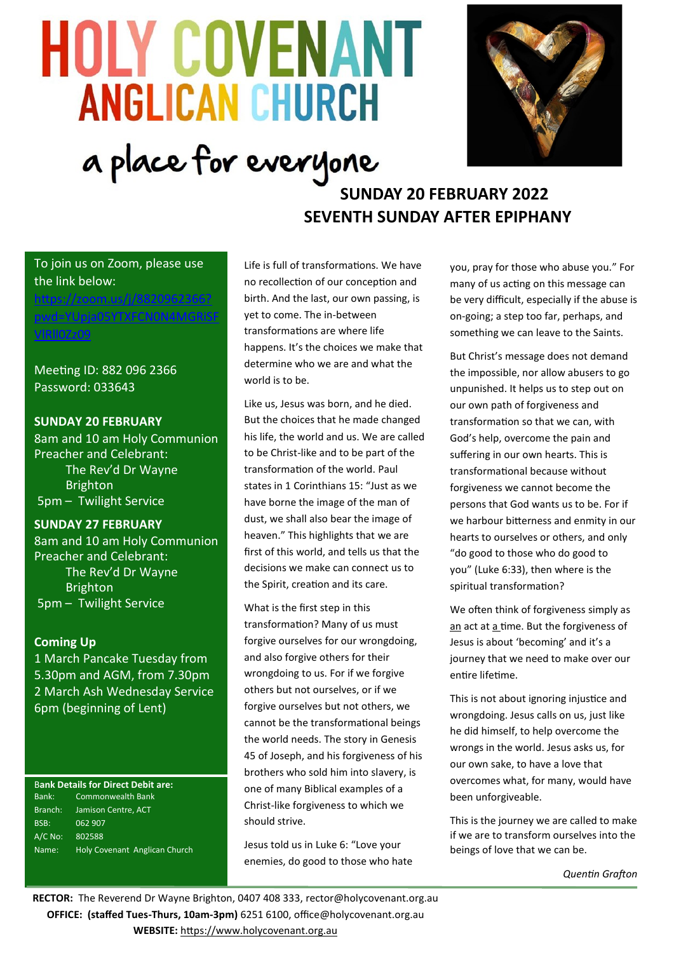# **HOLY COVENANT ANGLICAN CHURCH** a place for everyone



# **SUNDAY 20 FEBRUARY 2022 SEVENTH SUNDAY AFTER EPIPHANY**

# To join us on Zoom, please use the link below:

[https://zoom.us/j/8820962366?](https://zoom.us/j/8820962366?pwd=YUpja05YTXFCN0N4MGRiSFVlRll0Zz09) wd=YUpja05YTXFCN0N4MGF [VlRll0Zz09](https://zoom.us/j/8820962366?pwd=YUpja05YTXFCN0N4MGRiSFVlRll0Zz09)

Meeting ID: 882 096 2366 Password: 033643

# **SUNDAY 20 FEBRUARY**

8am and 10 am Holy Communion Preacher and Celebrant: The Rev'd Dr Wayne Brighton 5pm – Twilight Service

# **SUNDAY 27 FEBRUARY**

8am and 10 am Holy Communion Preacher and Celebrant: The Rev'd Dr Wayne Brighton 5pm – Twilight Service

# **Coming Up**

1 March Pancake Tuesday from 5.30pm and AGM, from 7.30pm 2 March Ash Wednesday Service 6pm (beginning of Lent)

#### B**ank Details for Direct Debit are:** Bank: Commonwealth Bank Branch: Jamison Centre, ACT BSB: 062 907 A/C No: 802588 Name: Holy Covenant Anglican Church

Life is full of transformations. We have no recollection of our conception and birth. And the last, our own passing, is yet to come. The in-between transformations are where life happens. It's the choices we make that determine who we are and what the world is to be.

Like us, Jesus was born, and he died. But the choices that he made changed his life, the world and us. We are called to be Christ-like and to be part of the transformation of the world. Paul states in 1 Corinthians 15: "Just as we have borne the image of the man of dust, we shall also bear the image of heaven." This highlights that we are first of this world, and tells us that the decisions we make can connect us to the Spirit, creation and its care.

What is the first step in this transformation? Many of us must forgive ourselves for our wrongdoing, and also forgive others for their wrongdoing to us. For if we forgive others but not ourselves, or if we forgive ourselves but not others, we cannot be the transformational beings the world needs. The story in Genesis 45 of Joseph, and his forgiveness of his brothers who sold him into slavery, is one of many Biblical examples of a Christ-like forgiveness to which we should strive.

Jesus told us in Luke 6: "Love your enemies, do good to those who hate you, pray for those who abuse you." For many of us acting on this message can be very difficult, especially if the abuse is on-going; a step too far, perhaps, and something we can leave to the Saints.

But Christ's message does not demand the impossible, nor allow abusers to go unpunished. It helps us to step out on our own path of forgiveness and transformation so that we can, with God's help, overcome the pain and suffering in our own hearts. This is transformational because without forgiveness we cannot become the persons that God wants us to be. For if we harbour bitterness and enmity in our hearts to ourselves or others, and only "do good to those who do good to you" (Luke 6:33), then where is the spiritual transformation?

We often think of forgiveness simply as an act at a time. But the forgiveness of Jesus is about 'becoming' and it's a journey that we need to make over our entire lifetime.

This is not about ignoring injustice and wrongdoing. Jesus calls on us, just like he did himself, to help overcome the wrongs in the world. Jesus asks us, for our own sake, to have a love that overcomes what, for many, would have been unforgiveable.

This is the journey we are called to make if we are to transform ourselves into the beings of love that we can be.

*Quentin Grafton*

**RECTOR:** The Reverend Dr Wayne Brighton, 0407 408 333, [rector@holycovenant.org.au](mailto:rector@holycovenant.org.au) **OFFICE: (staffed Tues-Thurs, 10am-3pm)** 6251 6100, office@holycovenant.org.au **WEBSITE:** [https://www.holycovenant.org.au](https://www.holycovenant.org.au/)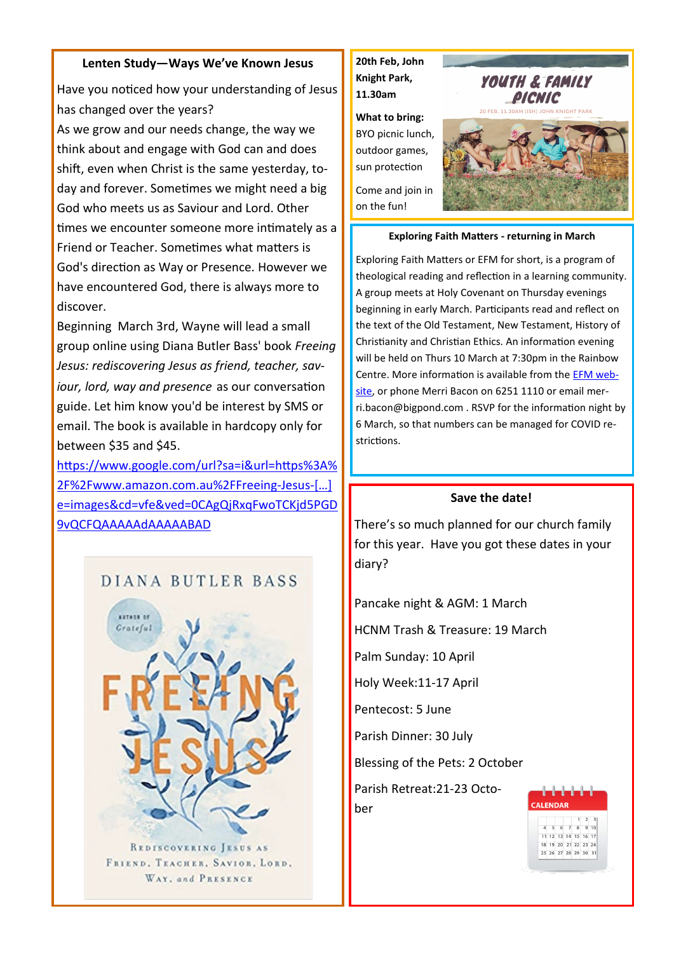#### **Lenten Study—Ways We've Known Jesus**

Have you noticed how your understanding of Jesus has changed over the years?

As we grow and our needs change, the way we think about and engage with God can and does shift, even when Christ is the same yesterday, today and forever. Sometimes we might need a big God who meets us as Saviour and Lord. Other times we encounter someone more intimately as a Friend or Teacher. Sometimes what matters is God's direction as Way or Presence. However we have encountered God, there is always more to discover.

Beginning March 3rd, Wayne will lead a small group online using Diana Butler Bass' book *Freeing Jesus: rediscovering Jesus as friend, teacher, saviour, lord, way and presence* as our conversation guide. Let him know you'd be interest by SMS or email. The book is available in hardcopy only for between \$35 and \$45.

[https://www.google.com/url?sa=i&url=https%3A%](https://www.google.com/url?sa=i&url=https%3A%2F%2Fwww.amazon.com.au%2FFreeing-Jesus-Rediscovering-Teacher-Presence%2Fdp%2F0062659529&psig=AOvVaw3L4Utp_FPVKDgG6C1e7DBB&ust=1640215112941000&source=images&cd=vfe&ved=0CAgQjRxqFwoTCKjd5PGD9vQCFQAAAAAdAAAAABAD) [2F%2Fwww.amazon.com.au%2FFreeing](https://www.google.com/url?sa=i&url=https%3A%2F%2Fwww.amazon.com.au%2FFreeing-Jesus-Rediscovering-Teacher-Presence%2Fdp%2F0062659529&psig=AOvVaw3L4Utp_FPVKDgG6C1e7DBB&ust=1640215112941000&source=images&cd=vfe&ved=0CAgQjRxqFwoTCKjd5PGD9vQCFQAAAAAdAAAAABAD)-Jesus-[…] [e=images&cd=vfe&ved=0CAgQjRxqFwoTCKjd5PGD](https://www.google.com/url?sa=i&url=https%3A%2F%2Fwww.amazon.com.au%2FFreeing-Jesus-Rediscovering-Teacher-Presence%2Fdp%2F0062659529&psig=AOvVaw3L4Utp_FPVKDgG6C1e7DBB&ust=1640215112941000&source=images&cd=vfe&ved=0CAgQjRxqFwoTCKjd5PGD9vQCFQAAAAAdAAAAABAD) [9vQCFQAAAAAdAAAAABAD](https://www.google.com/url?sa=i&url=https%3A%2F%2Fwww.amazon.com.au%2FFreeing-Jesus-Rediscovering-Teacher-Presence%2Fdp%2F0062659529&psig=AOvVaw3L4Utp_FPVKDgG6C1e7DBB&ust=1640215112941000&source=images&cd=vfe&ved=0CAgQjRxqFwoTCKjd5PGD9vQCFQAAAAAdAAAAABAD)





REDISCOVERING JESUS AS FRIEND, TEACHER, SAVIOR, LORD, WAY, and PRESENCE

**20th Feb, John Knight Park, 11.30am**

**What to bring:**  BYO picnic lunch, outdoor games, sun protection

Come and join in on the fun!



#### **Exploring Faith Matters - returning in March**

Exploring Faith Matters or EFM for short, is a program of theological reading and reflection in a learning community. A group meets at Holy Covenant on Thursday evenings beginning in early March. Participants read and reflect on the text of the Old Testament, New Testament, History of Christianity and Christian Ethics. An information evening will be held on Thurs 10 March at 7:30pm in the Rainbow Centre. More information is available from the [EFM web](https://www.efmaustralia.org/)[site,](https://www.efmaustralia.org/) or phone Merri Bacon on 6251 1110 or email merri.bacon@bigpond.com . RSVP for the information night by 6 March, so that numbers can be managed for COVID restrictions.

#### **Save the date!**

There's so much planned for our church family for this year. Have you got these dates in your diary?

Pancake night & AGM: 1 March

HCNM Trash & Treasure: 19 March

Palm Sunday: 10 April

Holy Week:11-17 April

Pentecost: 5 June

Parish Dinner: 30 July

Blessing of the Pets: 2 October

Parish Retreat:21-23 October

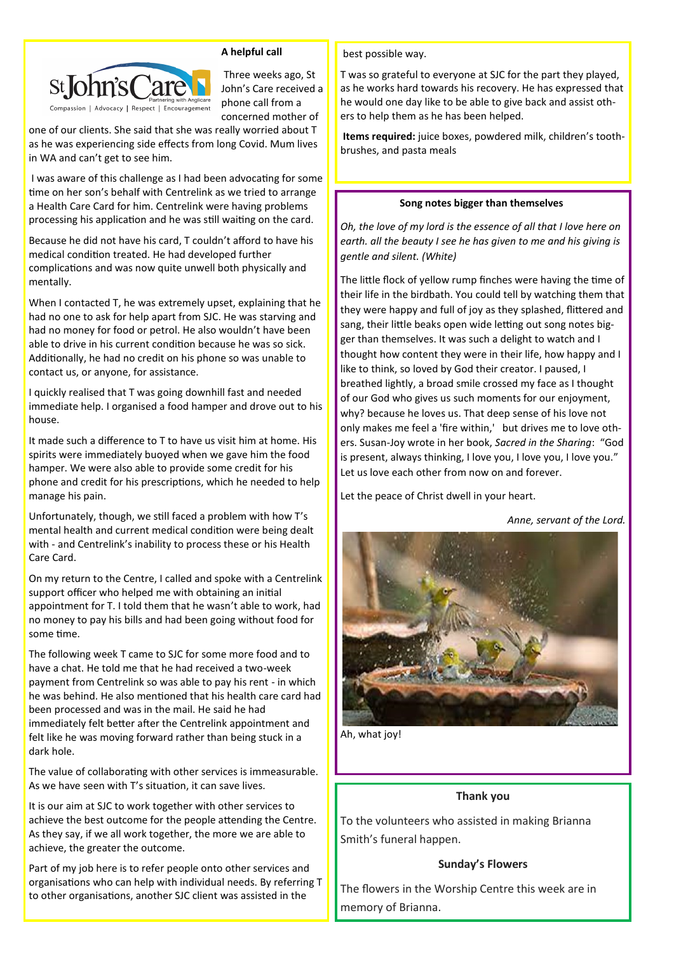

**A helpful call**

Three weeks ago, St John's Care received a phone call from a concerned mother of

one of our clients. She said that she was really worried about T as he was experiencing side effects from long Covid. Mum lives in WA and can't get to see him.

I was aware of this challenge as I had been advocating for some time on her son's behalf with Centrelink as we tried to arrange a Health Care Card for him. Centrelink were having problems processing his application and he was still waiting on the card.

Because he did not have his card, T couldn't afford to have his medical condition treated. He had developed further complications and was now quite unwell both physically and mentally.

When I contacted T, he was extremely upset, explaining that he had no one to ask for help apart from SJC. He was starving and had no money for food or petrol. He also wouldn't have been able to drive in his current condition because he was so sick. Additionally, he had no credit on his phone so was unable to contact us, or anyone, for assistance.

I quickly realised that T was going downhill fast and needed immediate help. I organised a food hamper and drove out to his house.

It made such a difference to T to have us visit him at home. His spirits were immediately buoyed when we gave him the food hamper. We were also able to provide some credit for his phone and credit for his prescriptions, which he needed to help manage his pain.

Unfortunately, though, we still faced a problem with how T's mental health and current medical condition were being dealt with - and Centrelink's inability to process these or his Health Care Card.

On my return to the Centre, I called and spoke with a Centrelink support officer who helped me with obtaining an initial appointment for T. I told them that he wasn't able to work, had no money to pay his bills and had been going without food for some time.

The following week T came to SJC for some more food and to have a chat. He told me that he had received a two-week payment from Centrelink so was able to pay his rent - in which he was behind. He also mentioned that his health care card had been processed and was in the mail. He said he had immediately felt better after the Centrelink appointment and felt like he was moving forward rather than being stuck in a dark hole.

The value of collaborating with other services is immeasurable. As we have seen with T's situation, it can save lives.

It is our aim at SJC to work together with other services to achieve the best outcome for the people attending the Centre. As they say, if we all work together, the more we are able to achieve, the greater the outcome.

Part of my job here is to refer people onto other services and organisations who can help with individual needs. By referring T to other organisations, another SJC client was assisted in the

best possible way.

T was so grateful to everyone at SJC for the part they played, as he works hard towards his recovery. He has expressed that he would one day like to be able to give back and assist others to help them as he has been helped.

**Items required:** juice boxes, powdered milk, children's toothbrushes, and pasta meals

#### **Song notes bigger than themselves**

*Oh, the love of my lord is the essence of all that I love here on earth. all the beauty I see he has given to me and his giving is gentle and silent. (White)*

The little flock of yellow rump finches were having the time of their life in the birdbath. You could tell by watching them that they were happy and full of joy as they splashed, flittered and sang, their little beaks open wide letting out song notes bigger than themselves. It was such a delight to watch and I thought how content they were in their life, how happy and I like to think, so loved by God their creator. I paused, I breathed lightly, a broad smile crossed my face as I thought of our God who gives us such moments for our enjoyment, why? because he loves us. That deep sense of his love not only makes me feel a 'fire within,' but drives me to love others. Susan-Joy wrote in her book, *Sacred in the Sharing*: "God is present, always thinking, I love you, I love you, I love you." Let us love each other from now on and forever.

Let the peace of Christ dwell in your heart.

*Anne, servant of the Lord.*



Ah, what joy!

#### **Thank you**

To the volunteers who assisted in making Brianna Smith's funeral happen.

#### **Sunday's Flowers**

The flowers in the Worship Centre this week are in memory of Brianna.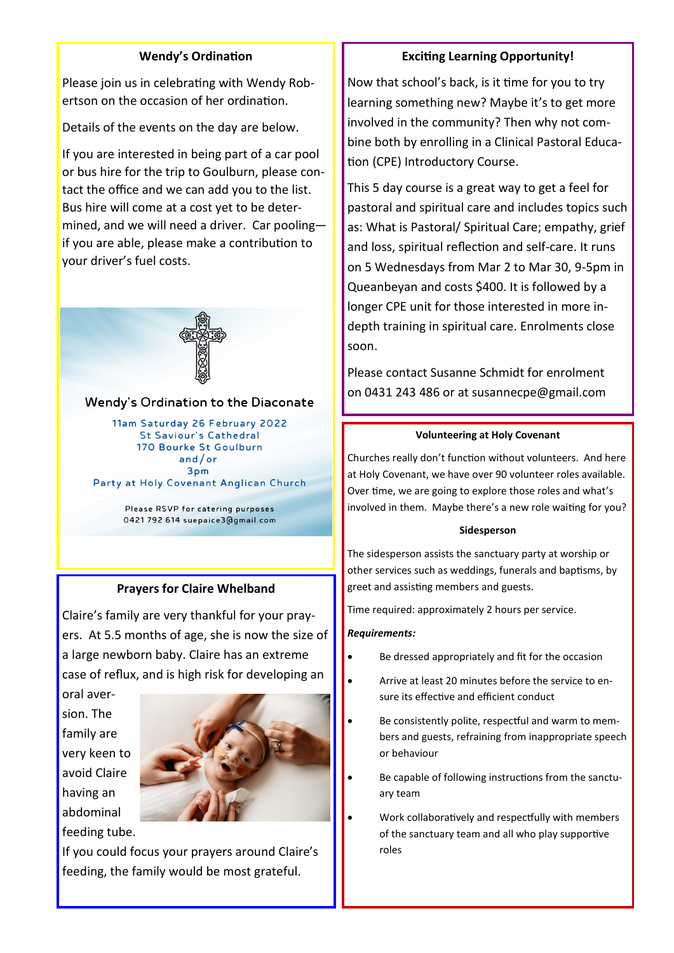### **Wendy's Ordination**

Please join us in celebrating with Wendy Robertson on the occasion of her ordination.

Details of the events on the day are below.

If you are interested in being part of a car pool or bus hire for the trip to Goulburn, please contact the office and we can add you to the list. Bus hire will come at a cost yet to be determined, and we will need a driver. Car pooling if you are able, please make a contribution to your driver's fuel costs.



#### **Wendy's Ordination to the Diaconate**

11am Saturday 26 February 2022 **St Saviour's Cathedral** 170 Bourke St Goulburn  $and/or$ 3pm Party at Holy Covenant Anglican Church

> Please RSVP for catering purposes 0421 792 614 suepaice3@gmail.com

#### **Prayers for Claire Whelband**

Claire's family are very thankful for your prayers. At 5.5 months of age, she is now the size of a large newborn baby. Claire has an extreme case of reflux, and is high risk for developing an

oral aversion. The family are very keen to avoid Claire having an abdominal feeding tube.



If you could focus your prayers around Claire's feeding, the family would be most grateful.

# **Exciting Learning Opportunity!**

Now that school's back, is it time for you to try learning something new? Maybe it's to get more involved in the community? Then why not combine both by enrolling in a Clinical Pastoral Education (CPE) Introductory Course.

This 5 day course is a great way to get a feel for pastoral and spiritual care and includes topics such as: What is Pastoral/ Spiritual Care; empathy, grief and loss, spiritual reflection and self-care. It runs on 5 Wednesdays from Mar 2 to Mar 30, 9-5pm in Queanbeyan and costs \$400. It is followed by a longer CPE unit for those interested in more indepth training in spiritual care. Enrolments close soon.

Please contact Susanne Schmidt for enrolment on 0431 243 486 or at susannecpe@gmail.com

#### **Volunteering at Holy Covenant**

Churches really don't function without volunteers. And here at Holy Covenant, we have over 90 volunteer roles available. Over time, we are going to explore those roles and what's involved in them. Maybe there's a new role waiting for you?

#### **Sidesperson**

The sidesperson assists the sanctuary party at worship or other services such as weddings, funerals and baptisms, by greet and assisting members and guests.

Time required: approximately 2 hours per service.

#### *Requirements:*

- Be dressed appropriately and fit for the occasion
- Arrive at least 20 minutes before the service to ensure its effective and efficient conduct
- Be consistently polite, respectful and warm to members and guests, refraining from inappropriate speech or behaviour
- Be capable of following instructions from the sanctuary team
- Work collaboratively and respectfully with members of the sanctuary team and all who play supportive roles